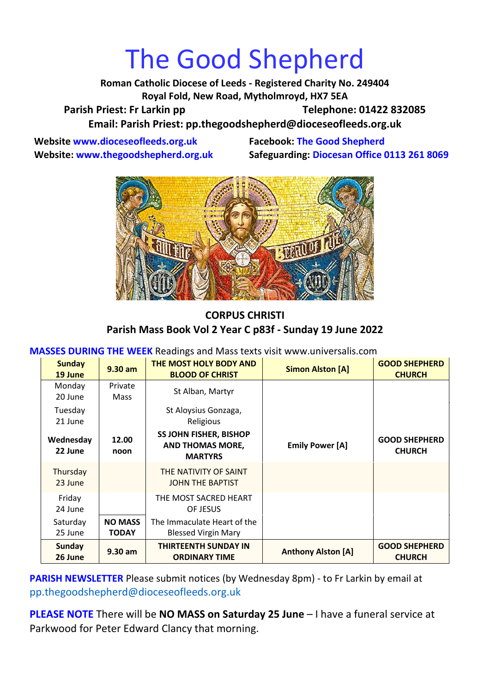# The Good Shepherd

**Roman Catholic Diocese of Leeds - Registered Charity No. 249404 Royal Fold, New Road, Mytholmroyd, HX7 5EA** Parish Priest: Fr Larkin pp Telephone: 01422 832085 **Email: Parish Priest: [pp.thegoodshepherd@dioceseofleeds.org.uk](http://Name:%C2%A0pp.thegoodshepherd@dioceseofleeds.org.uk/)**

**Website www.dioceseofleeds.org.uk Facebook: The Good Shepherd**

**Website: www.thegoodshepherd.org.uk Safeguarding: Diocesan Office 0113 261 8069**



### **CORPUS CHRISTI Parish Mass Book Vol 2 Year C p83f - Sunday 19 June 2022**

**MASSES DURING THE WEEK** Readings and Mass texts visit www.universalis.com

| <b>Sunday</b><br>19 June | $9.30$ am                      | THE MOST HOLY BODY AND<br><b>BLOOD OF CHRIST</b>                           | <b>Simon Alston [A]</b>   | <b>GOOD SHEPHERD</b><br><b>CHURCH</b> |
|--------------------------|--------------------------------|----------------------------------------------------------------------------|---------------------------|---------------------------------------|
| Monday<br>20 June        | Private<br><b>Mass</b>         | St Alban, Martyr                                                           |                           |                                       |
| Tuesday<br>21 June       |                                | St Aloysius Gonzaga,<br>Religious                                          |                           |                                       |
| Wednesday<br>22 June     | 12.00<br>noon                  | <b>SS JOHN FISHER, BISHOP</b><br><b>AND THOMAS MORE,</b><br><b>MARTYRS</b> | <b>Emily Power [A]</b>    | <b>GOOD SHEPHERD</b><br><b>CHURCH</b> |
| Thursday<br>23 June      |                                | THE NATIVITY OF SAINT<br><b>JOHN THE BAPTIST</b>                           |                           |                                       |
| Friday<br>24 June        |                                | THE MOST SACRED HEART<br>OF JESUS                                          |                           |                                       |
| Saturday<br>25 June      | <b>NO MASS</b><br><b>TODAY</b> | The Immaculate Heart of the<br><b>Blessed Virgin Mary</b>                  |                           |                                       |
| Sunday<br>26 June        | $9.30$ am                      | <b>THIRTEENTH SUNDAY IN</b><br><b>ORDINARY TIME</b>                        | <b>Anthony Alston [A]</b> | <b>GOOD SHEPHERD</b><br><b>CHURCH</b> |

**PARISH NEWSLETTER** Please submit notices (by Wednesday 8pm) - to Fr Larkin by email at pp.thegoodshepherd@dioceseofleeds.org.uk

**PLEASE NOTE** There will be **NO MASS on Saturday 25 June** – I have a funeral service at Parkwood for Peter Edward Clancy that morning.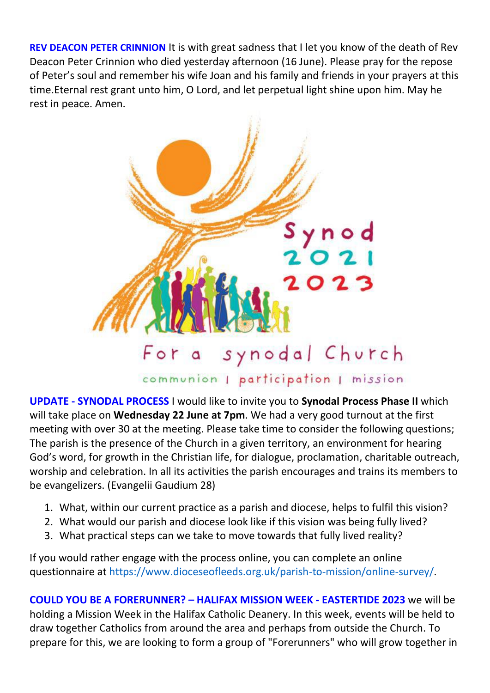**REV DEACON PETER CRINNION** It is with great sadness that I let you know of the death of Rev Deacon Peter Crinnion who died yesterday afternoon (16 June). Please pray for the repose of Peter's soul and remember his wife Joan and his family and friends in your prayers at this time.Eternal rest grant unto him, O Lord, and let perpetual light shine upon him. May he rest in peace. Amen.



**UPDATE - SYNODAL PROCESS** I would like to invite you to **Synodal Process Phase II** which will take place on **Wednesday 22 June at 7pm**. We had a very good turnout at the first meeting with over 30 at the meeting. Please take time to consider the following questions; The parish is the presence of the Church in a given territory, an environment for hearing God's word, for growth in the Christian life, for dialogue, proclamation, charitable outreach, worship and celebration. In all its activities the parish encourages and trains its members to be evangelizers. (Evangelii Gaudium 28)

- 1. What, within our current practice as a parish and diocese, helps to fulfil this vision?
- 2. What would our parish and diocese look like if this vision was being fully lived?
- 3. What practical steps can we take to move towards that fully lived reality?

If you would rather engage with the process online, you can complete an online questionnaire at [https://www.dioceseofleeds.org.uk/parish-to-mission/online-survey/.](https://www.dioceseofleeds.org.uk/parish-to-mission/online-survey/)

**COULD YOU BE A FORERUNNER? – HALIFAX MISSION WEEK - EASTERTIDE 2023** we will be holding a Mission Week in the Halifax Catholic Deanery. In this week, events will be held to draw together Catholics from around the area and perhaps from outside the Church. To prepare for this, we are looking to form a group of "Forerunners" who will grow together in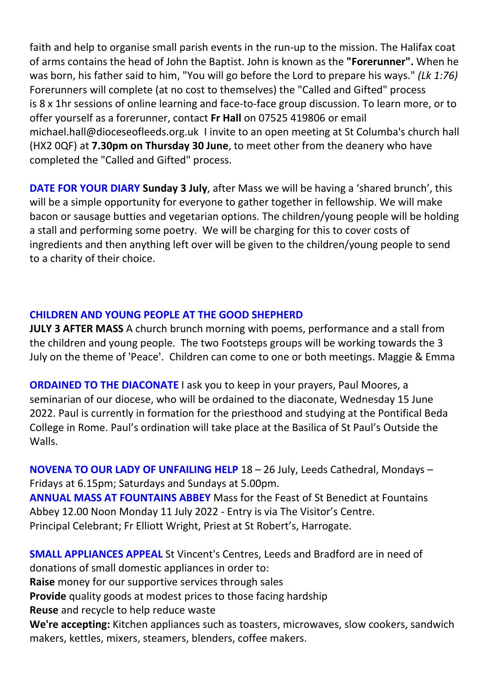faith and help to organise small parish events in the run-up to the mission. The Halifax coat of arms contains the head of John the Baptist. John is known as the **"Forerunner".** When he was born, his father said to him, "You will go before the Lord to prepare his ways." *(Lk 1:76)* Forerunners will complete (at no cost to themselves) the "Called and Gifted" process is 8 x 1hr sessions of online learning and face-to-face group discussion. To learn more, or to offer yourself as a forerunner, contact **Fr Hall** on 07525 419806 or email michael.hall@dioceseofleeds.org.uk I invite to an open meeting at St Columba's church hall (HX2 0QF) at **7.30pm on Thursday 30 June**, to meet other from the deanery who have completed the "Called and Gifted" process.

**DATE FOR YOUR DIARY Sunday 3 July**, after Mass we will be having a 'shared brunch', this will be a simple opportunity for everyone to gather together in fellowship. We will make bacon or sausage butties and vegetarian options. The children/young people will be holding a stall and performing some poetry. We will be charging for this to cover costs of ingredients and then anything left over will be given to the children/young people to send to a charity of their choice.

#### **CHILDREN AND YOUNG PEOPLE AT THE GOOD SHEPHERD**

**JULY 3 AFTER MASS** A church brunch morning with poems, performance and a stall from the children and young people. The two Footsteps groups will be working towards the 3 July on the theme of 'Peace'. Children can come to one or both meetings. Maggie & Emma

**ORDAINED TO THE DIACONATE** I ask you to keep in your prayers, Paul Moores, a seminarian of our diocese, who will be ordained to the diaconate, Wednesday 15 June 2022. Paul is currently in formation for the priesthood and studying at the Pontifical Beda College in Rome. Paul's ordination will take place at the Basilica of St Paul's Outside the Walls.

**NOVENA TO OUR LADY OF UNFAILING HELP** 18 – 26 July, Leeds Cathedral, Mondays – Fridays at 6.15pm; Saturdays and Sundays at 5.00pm. **ANNUAL MASS AT FOUNTAINS ABBEY** Mass for the Feast of St Benedict at Fountains Abbey 12.00 Noon Monday 11 July 2022 - Entry is via The Visitor's Centre. Principal Celebrant; Fr Elliott Wright, Priest at St Robert's, Harrogate.

**SMALL APPLIANCES APPEAL** St Vincent's Centres, Leeds and Bradford are in need of donations of small domestic appliances in order to: **Raise** money for our supportive services through sales **Provide** quality goods at modest prices to those facing hardship **Reuse** and recycle to help reduce waste **We're accepting:** Kitchen appliances such as toasters, microwaves, slow cookers, sandwich makers, kettles, mixers, steamers, blenders, coffee makers.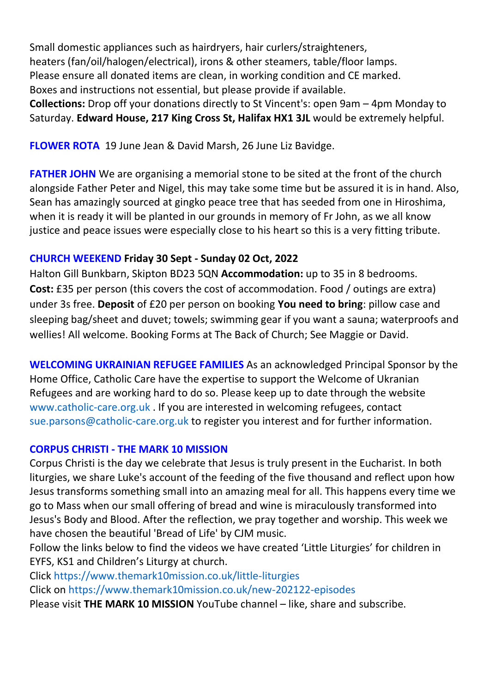Small domestic appliances such as hairdryers, hair curlers/straighteners, heaters (fan/oil/halogen/electrical), irons & other steamers, table/floor lamps. Please ensure all donated items are clean, in working condition and CE marked. Boxes and instructions not essential, but please provide if available. **Collections:** Drop off your donations directly to St Vincent's: open 9am – 4pm Monday to Saturday. **Edward House, 217 King Cross St, Halifax HX1 3JL** would be extremely helpful.

**FLOWER ROTA** 19 June Jean & David Marsh, 26 June Liz Bavidge.

**FATHER JOHN** We are organising a memorial stone to be sited at the front of the church alongside Father Peter and Nigel, this may take some time but be assured it is in hand. Also, Sean has amazingly sourced at gingko peace tree that has seeded from one in Hiroshima, when it is ready it will be planted in our grounds in memory of Fr John, as we all know justice and peace issues were especially close to his heart so this is a very fitting tribute.

# **CHURCH WEEKEND Friday 30 Sept - Sunday 02 Oct, 2022**

Halton Gill Bunkbarn, Skipton BD23 5QN **Accommodation:** up to 35 in 8 bedrooms. **Cost:** £35 per person (this covers the cost of accommodation. Food / outings are extra) under 3s free. **Deposit** of £20 per person on booking **You need to bring**: pillow case and sleeping bag/sheet and duvet; towels; swimming gear if you want a sauna; waterproofs and wellies! All welcome. Booking Forms at The Back of Church; See Maggie or David.

**WELCOMING UKRAINIAN REFUGEE FAMILIES** As an acknowledged Principal Sponsor by the Home Office, Catholic Care have the expertise to support the Welcome of Ukranian Refugees and are working hard to do so. Please keep up to date through the website [www.catholic-care.org.uk](http://www.catholic-care.org.uk/) . If you are interested in welcoming refugees, contact [sue.parsons@catholic-care.org.uk](mailto:sue.parsons@catholic-care.org.uk) to register you interest and for further information.

### **CORPUS CHRISTI - THE MARK 10 MISSION**

Corpus Christi is the day we celebrate that Jesus is truly present in the Eucharist. In both liturgies, we share Luke's account of the feeding of the five thousand and reflect upon how Jesus transforms something small into an amazing meal for all. This happens every time we go to Mass when our small offering of bread and wine is miraculously transformed into Jesus's Body and Blood. After the reflection, we pray together and worship. This week we have chosen the beautiful 'Bread of Life' by CJM music.

Follow the links below to find the videos we have created 'Little Liturgies' for children in EYFS, KS1 and Children's Liturgy at church.

Click <https://www.themark10mission.co.uk/little-liturgies>

Click on <https://www.themark10mission.co.uk/new-202122-episodes>

Please visit **THE MARK 10 MISSION** YouTube channel – like, share and subscribe.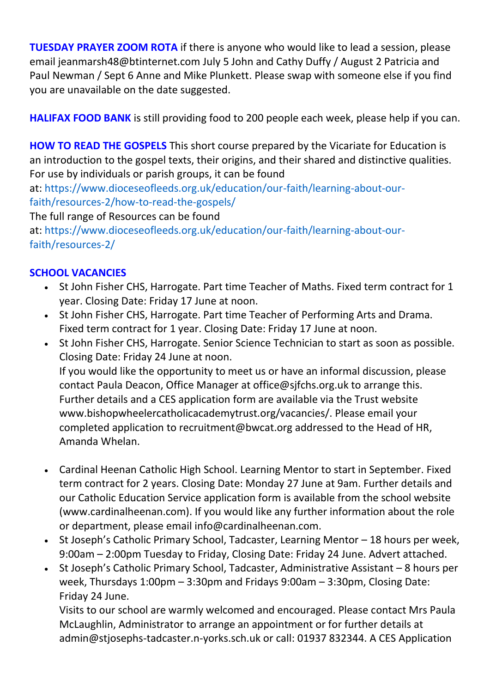**TUESDAY PRAYER ZOOM ROTA** if there is anyone who would like to lead a session, please email jeanmarsh48@btinternet.com July 5 John and Cathy Duffy / August 2 Patricia and Paul Newman / Sept 6 Anne and Mike Plunkett. Please swap with someone else if you find you are unavailable on the date suggested.

**HALIFAX FOOD BANK** is still providing food to 200 people each week, please help if you can.

**HOW TO READ THE GOSPELS** This short course prepared by the Vicariate for Education is an introduction to the gospel texts, their origins, and their shared and distinctive qualities. For use by individuals or parish groups, it can be found

at: [https://www.dioceseofleeds.org.uk/education/our-faith/learning-about-our](https://www.dioceseofleeds.org.uk/education/our-faith/learning-about-our-faith/resources-2/how-to-read-the-gospels/)[faith/resources-2/how-to-read-the-gospels/](https://www.dioceseofleeds.org.uk/education/our-faith/learning-about-our-faith/resources-2/how-to-read-the-gospels/)

The full range of Resources can be found

at: [https://www.dioceseofleeds.org.uk/education/our-faith/learning-about-our](https://www.dioceseofleeds.org.uk/education/our-faith/learning-about-our-faith/resources-2/)[faith/resources-2/](https://www.dioceseofleeds.org.uk/education/our-faith/learning-about-our-faith/resources-2/)

# **SCHOOL VACANCIES**

- St John Fisher CHS, Harrogate. Part time Teacher of Maths. Fixed term contract for 1 year. Closing Date: Friday 17 June at noon.
- St John Fisher CHS, Harrogate. Part time Teacher of Performing Arts and Drama. Fixed term contract for 1 year. Closing Date: Friday 17 June at noon.
- St John Fisher CHS, Harrogate. Senior Science Technician to start as soon as possible. Closing Date: Friday 24 June at noon. If you would like the opportunity to meet us or have an informal discussion, please contact Paula Deacon, Office Manager at office@sjfchs.org.uk to arrange this. Further details and a CES application form are available via the Trust website www.bishopwheelercatholicacademytrust.org/vacancies/. Please email your completed application to recruitment@bwcat.org addressed to the Head of HR, Amanda Whelan.
- Cardinal Heenan Catholic High School. Learning Mentor to start in September. Fixed term contract for 2 years. Closing Date: Monday 27 June at 9am. Further details and our Catholic Education Service application form is available from the school website (www.cardinalheenan.com). If you would like any further information about the role or department, please email info@cardinalheenan.com.
- St Joseph's Catholic Primary School, Tadcaster, Learning Mentor 18 hours per week, 9:00am – 2:00pm Tuesday to Friday, Closing Date: Friday 24 June. Advert attached.
- St Joseph's Catholic Primary School, Tadcaster, Administrative Assistant 8 hours per week, Thursdays 1:00pm – 3:30pm and Fridays 9:00am – 3:30pm, Closing Date: Friday 24 June.

Visits to our school are warmly welcomed and encouraged. Please contact Mrs Paula McLaughlin, Administrator to arrange an appointment or for further details at admin@stjosephs-tadcaster.n-yorks.sch.uk or call: 01937 832344. A CES Application